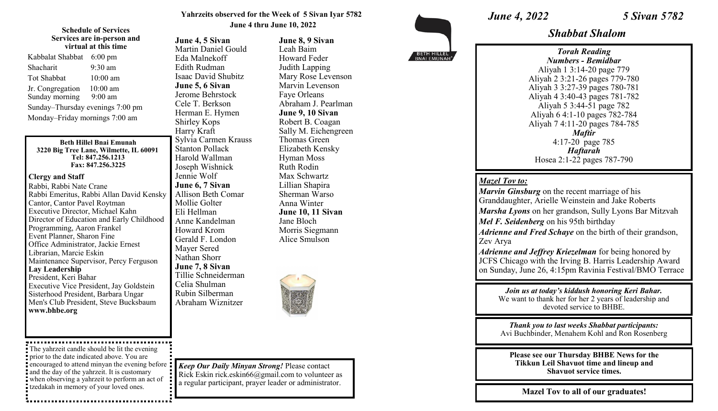#### **Yahrzeits observed for the Week of 5 Sivan Iyar 5782 June 4 thru June 10, 2022**

**June 8, 9 Sivan** Leah Baim Howard Feder Judith Lapping Mary Rose Levenson Marvin Levenson Faye Orleans

Abraham J. Pearlman **June 9, 10 Sivan** Robert B. Coagan Sally M. Eichengreen

Thomas Green Elizabeth Kensky Hyman Moss Ruth Rodin Max Schwartz Lillian Shapira Sherman Warso Anna Winter **June 10, 11 Sivan**

#### **Schedule of Services Services are in-person and virtual at this time**

| Kabbalat Shabbat                 | $6:00 \text{ pm}$ |
|----------------------------------|-------------------|
| Shacharit                        | $9:30 \text{ am}$ |
| <b>Tot Shabbat</b>               | $10:00$ am        |
| Jr. Congregation                 | $10:00$ am        |
| Sunday morning                   | $9:00$ am         |
| Sunday-Thursday evenings 7:00 pm |                   |
| Monday-Friday mornings 7:00 am   |                   |

#### **Beth Hillel Bnai Emunah 3220 Big Tree Lane, Wilmette, IL 60091 Tel: 847.256.1213 Fax: 847.256.3225**

### **Clergy and Staff**

Rabbi, Rabbi Nate Crane Rabbi Emeritus, Rabbi Allan David Kensky Cantor, Cantor Pavel Roytman Executive Director, Michael Kahn Director of Education and Early Childhood Programming, Aaron Frankel Event Planner, Sharon Fine Office Administrator, Jackie Ernest Librarian, Marcie Eskin Maintenance Supervisor, Percy Ferguson **Lay Leadership** President, Keri Bahar Executive Vice President, Jay Goldstein Sisterhood President, Barbara Ungar Men's Club President, Steve Bucksbaum **www.bhbe.org**

The yahrzeit candle should be lit the evening prior to the date indicated above. You are encouraged to attend minyan the evening before and the day of the yahrzeit. It is customary when observing a yahrzeit to perform an act of tzedakah in memory of your loved ones.

**June 4, 5 Sivan** Martin Daniel Gould Eda Malnekoff Edith Rudman Isaac David Shubitz **June 5, 6 Sivan** Jerome Behrstock Cele T. Berkson Herman E. Hymen Shirley Kops Harry Kraft Sylvia Carmen Krauss Stanton Pollack Harold Wallman Joseph Wishnick Jennie Wolf **June 6, 7 Sivan** Allison Beth Comar Mollie Golter Eli Hellman Anne Kandelman Howard Krom Gerald F. London Mayer Sered Nathan Shorr **June 7, 8 Sivan** Tillie Schneiderman Celia Shulman Rubin Silberman Abraham Wiznitzer



Jane Bloch Morris Siegmann Alice Smulson

*Keep Our Daily Minyan Strong!* Please contact Rick Eskin rick.eskin66@gmail.com to volunteer as a regular participant, prayer leader or administrator.

BETH HILLEL

## *June 4, 2022 5 Sivan 5782*

*Shabbat Shalom*

*Torah Reading Numbers - Bemidbar* Aliyah 1 3:14-20 page 779 Aliyah 2 3:21-26 pages 779-780 Aliyah 3 3:27-39 pages 780-781 Aliyah 4 3:40-43 pages 781-782 Aliyah 5 3:44-51 page 782 Aliyah 6 4:1-10 pages 782-784 Aliyah 7 4:11-20 pages 784-785 *Maftir* 4:17-20 page 785 *Haftarah* Hosea 2:1-22 pages 787-790

### *Mazel Tov to:*

*Marvin Ginsburg* on the recent marriage of his Granddaughter, Arielle Weinstein and Jake Roberts *Marsha Lyons* on her grandson, Sully Lyons Bar Mitzvah *Mel F. Seidenberg* on his 95th birthday *Adrienne and Fred Schaye* on the birth of their grandson, Zev Arya

*Adrienne and Jeffrey Kriezelman* for being honored by JCFS Chicago with the Irving B. Harris Leadership Award on Sunday, June 26, 4:15pm Ravinia Festival/BMO Terrace

*Join us at today's kiddush honoring Keri Bahar.*  We want to thank her for her 2 years of leadership and devoted service to BHBE.

*Thank you to last weeks Shabbat participants:*  Avi Buchbinder, Menahem Kohl and Ron Rosenberg

**Please see our Thursday BHBE News for the Tikkun Leil Shavuot time and lineup and Shavuot service times.**

**Mazel Tov to all of our graduates!**